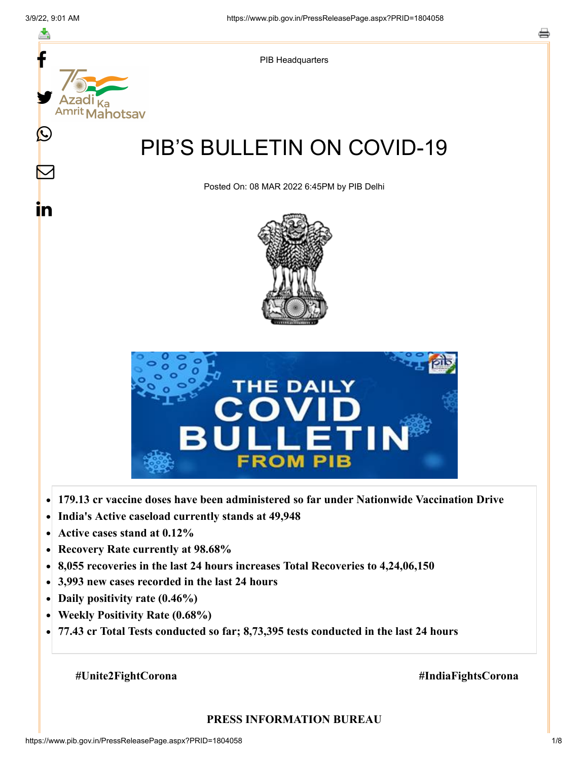

- **India's Active caseload currently stands at 49,948**  $\bullet$
- **Active cases stand at 0.12%**  $\bullet$
- **Recovery Rate currently at 98.68%**  $\bullet$
- **8,055 recoveries in the last 24 hours increases Total Recoveries to 4,24,06,150**  $\bullet$
- **3,993 new cases recorded in the last 24 hours**  $\bullet$
- **Daily positivity rate (0.46%)**
- **Weekly Positivity Rate (0.68%)**  $\bullet$
- **77.43 cr Total Tests conducted so far; 8,73,395 tests conducted in the last 24 hours**  $\bullet$

#### **#Unite2FightCorona #IndiaFightsCorona**

#### **PRESS INFORMATION BUREAU**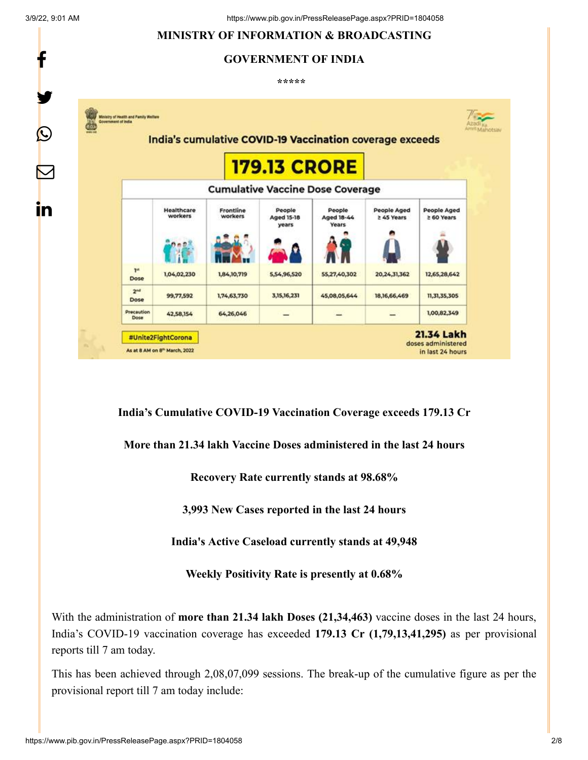f

y.

 $\boldsymbol{Q}$ 

 $\color{red} \nabla$ 

in

# **MINISTRY OF INFORMATION & BROADCASTING GOVERNMENT OF INDIA**

**\*\*\*\*\*** 



**India's Cumulative COVID-19 Vaccination Coverage exceeds 179.13 Cr**

**More than 21.34 lakh Vaccine Doses administered in the last 24 hours**

**Recovery Rate currently stands at 98.68%**

**3,993 New Cases reported in the last 24 hours**

**India's Active Caseload currently stands at 49,948**

**Weekly Positivity Rate is presently at 0.68%**

With the administration of **more than 21.34 lakh Doses (21,34,463)** vaccine doses in the last 24 hours, India's COVID-19 vaccination coverage has exceeded **179.13 Cr (1,79,13,41,295)** as per provisional reports till 7 am today.

This has been achieved through 2,08,07,099 sessions. The break-up of the cumulative figure as per the provisional report till 7 am today include: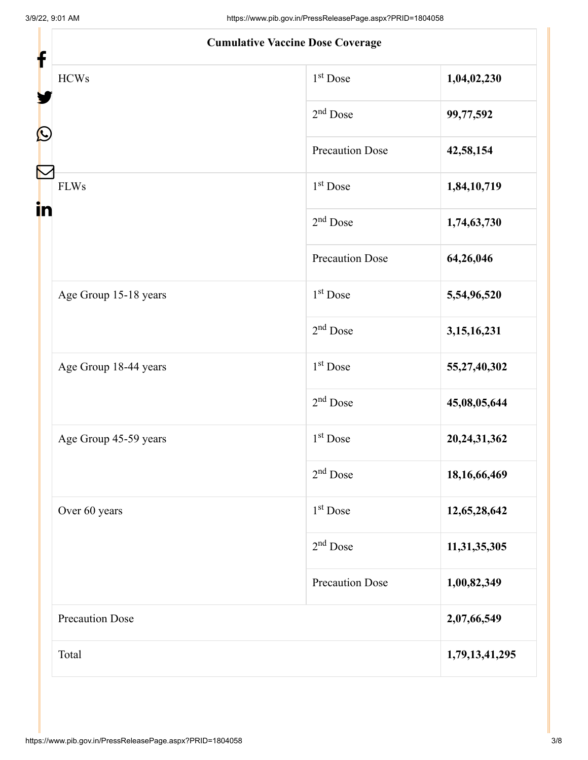| <b>Cumulative Vaccine Dose Coverage</b> |                        |                 |
|-----------------------------------------|------------------------|-----------------|
| <b>HCWs</b>                             | $1st$ Dose             | 1,04,02,230     |
|                                         | $2nd$ Dose             | 99,77,592       |
| Ŀ                                       | <b>Precaution Dose</b> | 42,58,154       |
| <b>FLWs</b><br>in                       | 1 <sup>st</sup> Dose   | 1,84,10,719     |
|                                         | $2nd$ Dose             | 1,74,63,730     |
|                                         | <b>Precaution Dose</b> | 64,26,046       |
| Age Group 15-18 years                   | $1st$ Dose             | 5,54,96,520     |
|                                         | $2nd$ Dose             | 3, 15, 16, 231  |
| Age Group 18-44 years                   | 1 <sup>st</sup> Dose   | 55,27,40,302    |
|                                         | $2nd$ Dose             | 45,08,05,644    |
| Age Group 45-59 years                   | $1st$ Dose             | 20, 24, 31, 362 |
|                                         | $2nd$ Dose             | 18, 16, 66, 469 |
| Over 60 years                           | $1st$ Dose             | 12,65,28,642    |
|                                         | $2nd$ Dose             | 11,31,35,305    |
|                                         | <b>Precaution Dose</b> | 1,00,82,349     |
| Precaution Dose                         |                        | 2,07,66,549     |
| Total                                   |                        | 1,79,13,41,295  |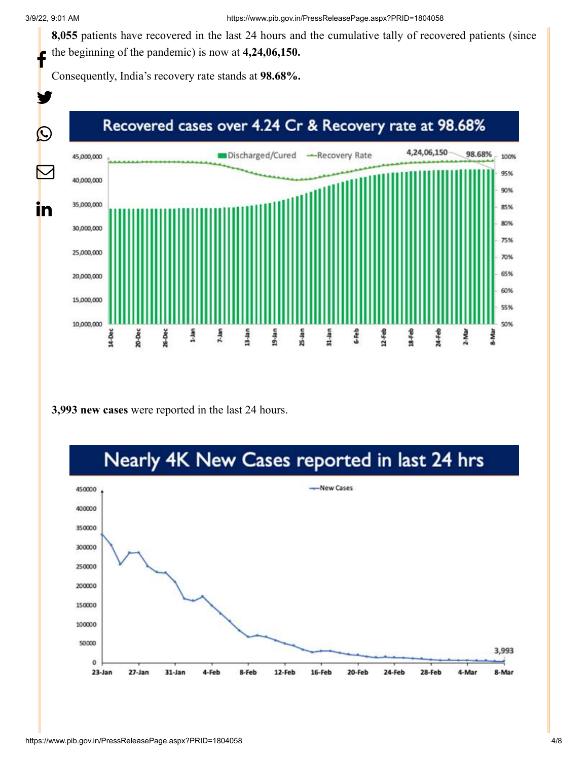**8,055** patients have recovered in the last 24 hours and the cumulative tally of recovered patients (since the beginning of the pandemic) is now at **4,24,06,150.** f

Consequently, India's recovery rate stands at **98.68%.**



**3,993 new cases** were reported in the last 24 hours.

# Nearly 4K New Cases reported in last 24 hrs

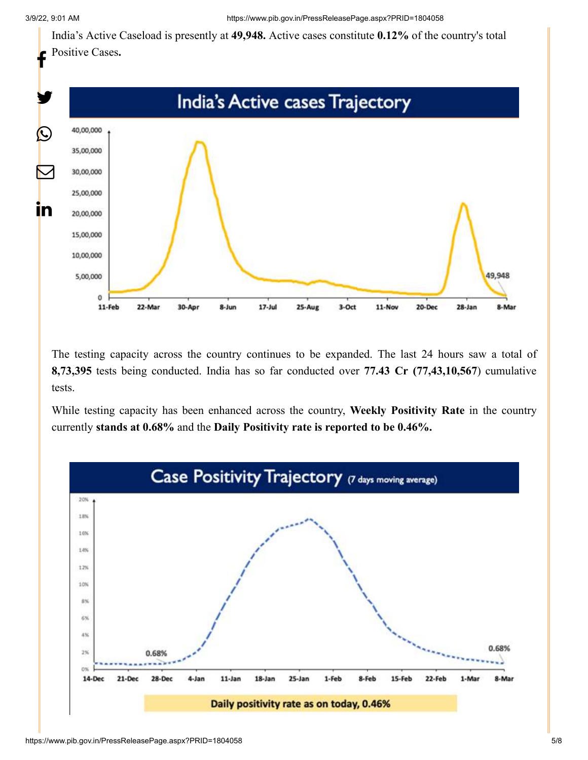India's Active Caseload is presently at **49,948.** Active cases constitute **0.12%** of the country's total Positive Cases**.**



The testing capacity across the country continues to be expanded. The last 24 hours saw a total of **8,73,395** tests being conducted. India has so far conducted over **77.43 Cr (77,43,10,567**) cumulative tests.

While testing capacity has been enhanced across the country, **Weekly Positivity Rate** in the country currently **stands at 0.68%** and the **Daily Positivity rate is reported to be 0.46%.**

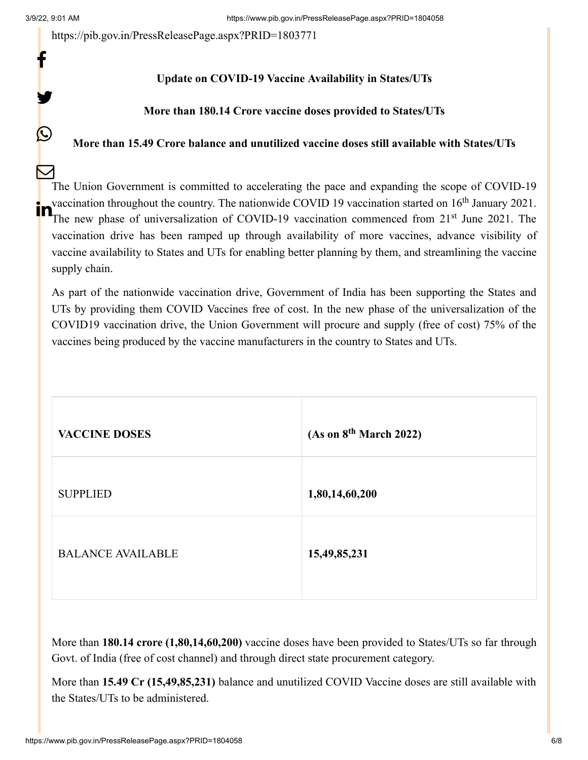f

y.

 $\mathbf{\Omega}$ 

<https://pib.gov.in/PressReleasePage.aspx?PRID=1803771>

### **Update on COVID-19 Vaccine Availability in States/UTs**

#### **More than 180.14 Crore vaccine doses provided to States/UTs**

### **More than 15.49 Crore balance and unutilized vaccine doses still available with States/UTs**

The Union Government is committed to accelerating the pace and expanding the scope of COVID-19 vaccination throughout the country. The nationwide COVID 19 vaccination started on  $16<sup>th</sup>$  January 2021. The new phase of universalization of COVID-19 vaccination started on 16<sup>th</sup> January 2021.<br>The new phase of universalization of COVID-19 vaccination commenced from 21<sup>st</sup> June 2021. The vaccination drive has been ramped up through availability of more vaccines, advance visibility of vaccine availability to States and UTs for enabling better planning by them, and streamlining the vaccine supply chain.  $\bm{\nabla}$ 

As part of the nationwide vaccination drive, Government of India has been supporting the States and UTs by providing them COVID Vaccines free of cost. In the new phase of the universalization of the COVID19 vaccination drive, the Union Government will procure and supply (free of cost) 75% of the vaccines being produced by the vaccine manufacturers in the country to States and UTs.

| <b>VACCINE DOSES</b>     | (As on 8 <sup>th</sup> March 2022) |
|--------------------------|------------------------------------|
| <b>SUPPLIED</b>          | 1,80,14,60,200                     |
| <b>BALANCE AVAILABLE</b> | 15,49,85,231                       |

More than **180.14 crore (1,80,14,60,200)** vaccine doses have been provided to States/UTs so far through Govt. of India (free of cost channel) and through direct state procurement category.

More than **15.49 Cr (15,49,85,231)** balance and unutilized COVID Vaccine doses are still available with the States/UTs to be administered.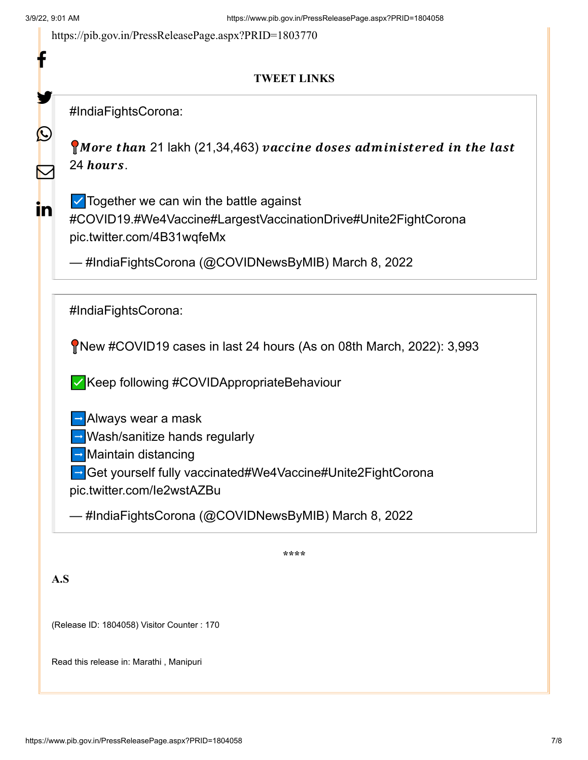f

У

 $\bigcirc$ 

<https://pib.gov.in/PressReleasePage.aspx?PRID=1803770>

## **TWEET LINKS**

[#IndiaFightsCorona](https://twitter.com/hashtag/IndiaFightsCorona?src=hash&ref_src=twsrc%5Etfw):

 $\bigcap$  More than 21 lakh (21,34,463) vaccine doses administered in the last 24 hours.

in

 $\mathbf \Xi$ 

☑️Together we can win the battle against [#COVID19](https://twitter.com/hashtag/COVID19?src=hash&ref_src=twsrc%5Etfw)[.#We4Vaccine](https://twitter.com/hashtag/We4Vaccine?src=hash&ref_src=twsrc%5Etfw)[#LargestVaccinationDrive](https://twitter.com/hashtag/LargestVaccinationDrive?src=hash&ref_src=twsrc%5Etfw)[#Unite2FightCorona](https://twitter.com/hashtag/Unite2FightCorona?src=hash&ref_src=twsrc%5Etfw)

[pic.twitter.com/4B31wqfeMx](https://t.co/4B31wqfeMx)

— #IndiaFightsCorona (@COVIDNewsByMIB) [March 8, 2022](https://twitter.com/COVIDNewsByMIB/status/1501081407879548929?ref_src=twsrc%5Etfw)

[#IndiaFightsCorona](https://twitter.com/hashtag/IndiaFightsCorona?src=hash&ref_src=twsrc%5Etfw):

New [#COVID19](https://twitter.com/hashtag/COVID19?src=hash&ref_src=twsrc%5Etfw) cases in last 24 hours (As on 08th March, 2022): 3,993

✅Keep following [#COVIDAppropriateBehaviour](https://twitter.com/hashtag/COVIDAppropriateBehaviour?src=hash&ref_src=twsrc%5Etfw)

 $\rightarrow$  Always wear a mask

➡️Wash/sanitize hands regularly

➡️Maintain distancing

➡️Get yourself fully vaccinated[#We4Vaccine](https://twitter.com/hashtag/We4Vaccine?src=hash&ref_src=twsrc%5Etfw)[#Unite2FightCorona](https://twitter.com/hashtag/Unite2FightCorona?src=hash&ref_src=twsrc%5Etfw)

[pic.twitter.com/Ie2wstAZBu](https://t.co/Ie2wstAZBu)

— #IndiaFightsCorona (@COVIDNewsByMIB) [March 8, 2022](https://twitter.com/COVIDNewsByMIB/status/1501071048204513280?ref_src=twsrc%5Etfw)

**\*\*\*\***

**A.S**

(Release ID: 1804058) Visitor Counter : 170

Read this release in: [Marathi ,](https://pib.gov.in/PressReleasePage.aspx?PRID=1804079) [Manipuri](https://pib.gov.in/PressReleasePage.aspx?PRID=1804076)